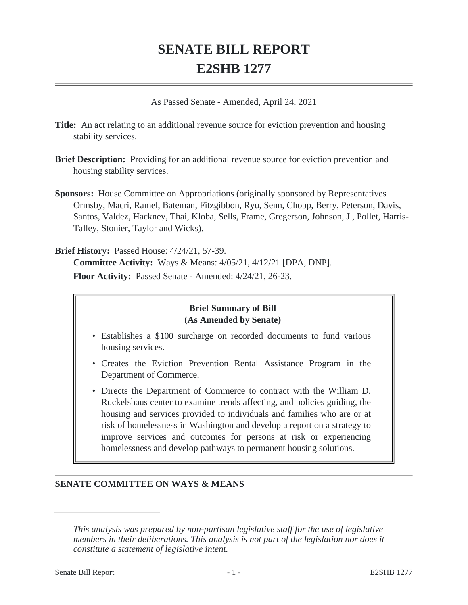# **SENATE BILL REPORT E2SHB 1277**

As Passed Senate - Amended, April 24, 2021

- **Title:** An act relating to an additional revenue source for eviction prevention and housing stability services.
- **Brief Description:** Providing for an additional revenue source for eviction prevention and housing stability services.
- **Sponsors:** House Committee on Appropriations (originally sponsored by Representatives Ormsby, Macri, Ramel, Bateman, Fitzgibbon, Ryu, Senn, Chopp, Berry, Peterson, Davis, Santos, Valdez, Hackney, Thai, Kloba, Sells, Frame, Gregerson, Johnson, J., Pollet, Harris-Talley, Stonier, Taylor and Wicks).

**Brief History:** Passed House: 4/24/21, 57-39. **Committee Activity:** Ways & Means: 4/05/21, 4/12/21 [DPA, DNP]. **Floor Activity:** Passed Senate - Amended: 4/24/21, 26-23.

# **Brief Summary of Bill (As Amended by Senate)**

- Establishes a \$100 surcharge on recorded documents to fund various housing services.
- Creates the Eviction Prevention Rental Assistance Program in the Department of Commerce.
- Directs the Department of Commerce to contract with the William D. Ruckelshaus center to examine trends affecting, and policies guiding, the housing and services provided to individuals and families who are or at risk of homelessness in Washington and develop a report on a strategy to improve services and outcomes for persons at risk or experiencing homelessness and develop pathways to permanent housing solutions.

## **SENATE COMMITTEE ON WAYS & MEANS**

*This analysis was prepared by non-partisan legislative staff for the use of legislative members in their deliberations. This analysis is not part of the legislation nor does it constitute a statement of legislative intent.*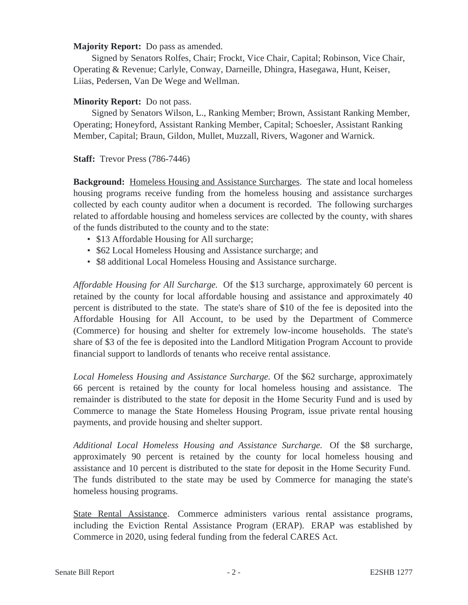#### **Majority Report:** Do pass as amended.

Signed by Senators Rolfes, Chair; Frockt, Vice Chair, Capital; Robinson, Vice Chair, Operating & Revenue; Carlyle, Conway, Darneille, Dhingra, Hasegawa, Hunt, Keiser, Liias, Pedersen, Van De Wege and Wellman.

#### **Minority Report:** Do not pass.

Signed by Senators Wilson, L., Ranking Member; Brown, Assistant Ranking Member, Operating; Honeyford, Assistant Ranking Member, Capital; Schoesler, Assistant Ranking Member, Capital; Braun, Gildon, Mullet, Muzzall, Rivers, Wagoner and Warnick.

#### **Staff:** Trevor Press (786-7446)

**Background:** Homeless Housing and Assistance Surcharges. The state and local homeless housing programs receive funding from the homeless housing and assistance surcharges collected by each county auditor when a document is recorded. The following surcharges related to affordable housing and homeless services are collected by the county, with shares of the funds distributed to the county and to the state:

- \$13 Affordable Housing for All surcharge;
- \$62 Local Homeless Housing and Assistance surcharge; and
- \$8 additional Local Homeless Housing and Assistance surcharge.

*Affordable Housing for All Surcharge.* Of the \$13 surcharge, approximately 60 percent is retained by the county for local affordable housing and assistance and approximately 40 percent is distributed to the state. The state's share of \$10 of the fee is deposited into the Affordable Housing for All Account, to be used by the Department of Commerce (Commerce) for housing and shelter for extremely low-income households. The state's share of \$3 of the fee is deposited into the Landlord Mitigation Program Account to provide financial support to landlords of tenants who receive rental assistance.

*Local Homeless Housing and Assistance Surcharge.* Of the \$62 surcharge, approximately 66 percent is retained by the county for local homeless housing and assistance. The remainder is distributed to the state for deposit in the Home Security Fund and is used by Commerce to manage the State Homeless Housing Program, issue private rental housing payments, and provide housing and shelter support.

*Additional Local Homeless Housing and Assistance Surcharge.* Of the \$8 surcharge, approximately 90 percent is retained by the county for local homeless housing and assistance and 10 percent is distributed to the state for deposit in the Home Security Fund. The funds distributed to the state may be used by Commerce for managing the state's homeless housing programs.

State Rental Assistance. Commerce administers various rental assistance programs, including the Eviction Rental Assistance Program (ERAP). ERAP was established by Commerce in 2020, using federal funding from the federal CARES Act.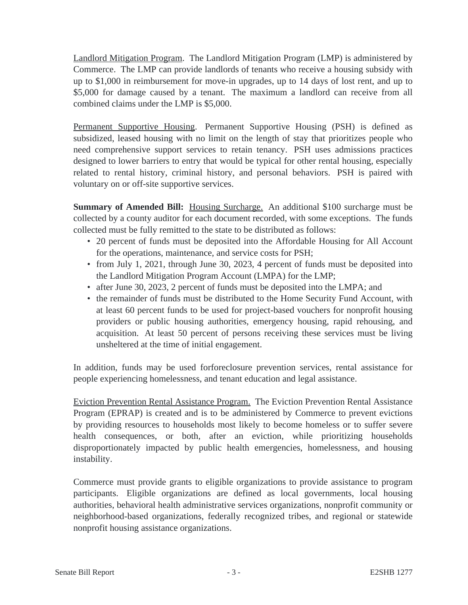Landlord Mitigation Program. The Landlord Mitigation Program (LMP) is administered by Commerce. The LMP can provide landlords of tenants who receive a housing subsidy with up to \$1,000 in reimbursement for move-in upgrades, up to 14 days of lost rent, and up to \$5,000 for damage caused by a tenant. The maximum a landlord can receive from all combined claims under the LMP is \$5,000.

Permanent Supportive Housing. Permanent Supportive Housing (PSH) is defined as subsidized, leased housing with no limit on the length of stay that prioritizes people who need comprehensive support services to retain tenancy. PSH uses admissions practices designed to lower barriers to entry that would be typical for other rental housing, especially related to rental history, criminal history, and personal behaviors. PSH is paired with voluntary on or off-site supportive services.

**Summary of Amended Bill:** Housing Surcharge. An additional \$100 surcharge must be collected by a county auditor for each document recorded, with some exceptions. The funds collected must be fully remitted to the state to be distributed as follows:

- 20 percent of funds must be deposited into the Affordable Housing for All Account for the operations, maintenance, and service costs for PSH;
- from July 1, 2021, through June 30, 2023, 4 percent of funds must be deposited into the Landlord Mitigation Program Account (LMPA) for the LMP;
- after June 30, 2023, 2 percent of funds must be deposited into the LMPA; and
- the remainder of funds must be distributed to the Home Security Fund Account, with at least 60 percent funds to be used for project-based vouchers for nonprofit housing providers or public housing authorities, emergency housing, rapid rehousing, and acquisition. At least 50 percent of persons receiving these services must be living unsheltered at the time of initial engagement.

In addition, funds may be used forforeclosure prevention services, rental assistance for people experiencing homelessness, and tenant education and legal assistance.

Eviction Prevention Rental Assistance Program. The Eviction Prevention Rental Assistance Program (EPRAP) is created and is to be administered by Commerce to prevent evictions by providing resources to households most likely to become homeless or to suffer severe health consequences, or both, after an eviction, while prioritizing households disproportionately impacted by public health emergencies, homelessness, and housing instability.

Commerce must provide grants to eligible organizations to provide assistance to program participants. Eligible organizations are defined as local governments, local housing authorities, behavioral health administrative services organizations, nonprofit community or neighborhood-based organizations, federally recognized tribes, and regional or statewide nonprofit housing assistance organizations.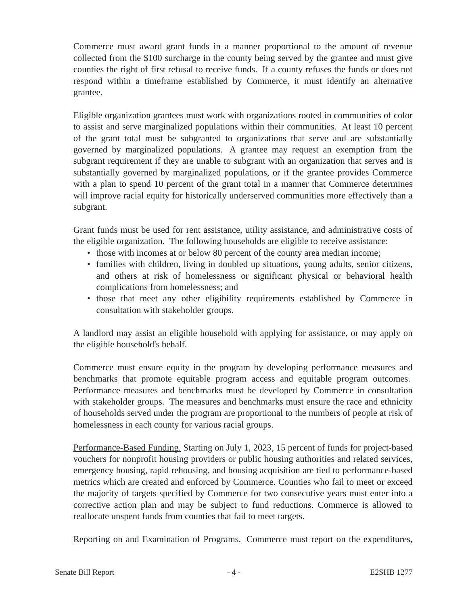Commerce must award grant funds in a manner proportional to the amount of revenue collected from the \$100 surcharge in the county being served by the grantee and must give counties the right of first refusal to receive funds. If a county refuses the funds or does not respond within a timeframe established by Commerce, it must identify an alternative grantee.

Eligible organization grantees must work with organizations rooted in communities of color to assist and serve marginalized populations within their communities. At least 10 percent of the grant total must be subgranted to organizations that serve and are substantially governed by marginalized populations. A grantee may request an exemption from the subgrant requirement if they are unable to subgrant with an organization that serves and is substantially governed by marginalized populations, or if the grantee provides Commerce with a plan to spend 10 percent of the grant total in a manner that Commerce determines will improve racial equity for historically underserved communities more effectively than a subgrant.

Grant funds must be used for rent assistance, utility assistance, and administrative costs of the eligible organization. The following households are eligible to receive assistance:

- those with incomes at or below 80 percent of the county area median income;
- families with children, living in doubled up situations, young adults, senior citizens, and others at risk of homelessness or significant physical or behavioral health complications from homelessness; and
- those that meet any other eligibility requirements established by Commerce in consultation with stakeholder groups.

A landlord may assist an eligible household with applying for assistance, or may apply on the eligible household's behalf.

Commerce must ensure equity in the program by developing performance measures and benchmarks that promote equitable program access and equitable program outcomes. Performance measures and benchmarks must be developed by Commerce in consultation with stakeholder groups. The measures and benchmarks must ensure the race and ethnicity of households served under the program are proportional to the numbers of people at risk of homelessness in each county for various racial groups.

Performance-Based Funding. Starting on July 1, 2023, 15 percent of funds for project-based vouchers for nonprofit housing providers or public housing authorities and related services, emergency housing, rapid rehousing, and housing acquisition are tied to performance-based metrics which are created and enforced by Commerce. Counties who fail to meet or exceed the majority of targets specified by Commerce for two consecutive years must enter into a corrective action plan and may be subject to fund reductions. Commerce is allowed to reallocate unspent funds from counties that fail to meet targets.

Reporting on and Examination of Programs. Commerce must report on the expenditures,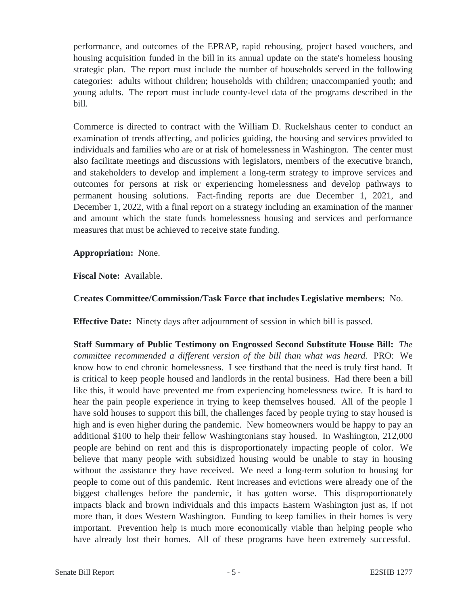performance, and outcomes of the EPRAP, rapid rehousing, project based vouchers, and housing acquisition funded in the bill in its annual update on the state's homeless housing strategic plan. The report must include the number of households served in the following categories: adults without children; households with children; unaccompanied youth; and young adults. The report must include county-level data of the programs described in the bill.

Commerce is directed to contract with the William D. Ruckelshaus center to conduct an examination of trends affecting, and policies guiding, the housing and services provided to individuals and families who are or at risk of homelessness in Washington. The center must also facilitate meetings and discussions with legislators, members of the executive branch, and stakeholders to develop and implement a long-term strategy to improve services and outcomes for persons at risk or experiencing homelessness and develop pathways to permanent housing solutions. Fact-finding reports are due December 1, 2021, and December 1, 2022, with a final report on a strategy including an examination of the manner and amount which the state funds homelessness housing and services and performance measures that must be achieved to receive state funding.

#### **Appropriation:** None.

**Fiscal Note:** Available.

### **Creates Committee/Commission/Task Force that includes Legislative members:** No.

**Effective Date:** Ninety days after adjournment of session in which bill is passed.

**Staff Summary of Public Testimony on Engrossed Second Substitute House Bill:** *The committee recommended a different version of the bill than what was heard.* PRO: We know how to end chronic homelessness. I see firsthand that the need is truly first hand. It is critical to keep people housed and landlords in the rental business. Had there been a bill like this, it would have prevented me from experiencing homelessness twice. It is hard to hear the pain people experience in trying to keep themselves housed. All of the people I have sold houses to support this bill, the challenges faced by people trying to stay housed is high and is even higher during the pandemic. New homeowners would be happy to pay an additional \$100 to help their fellow Washingtonians stay housed. In Washington, 212,000 people are behind on rent and this is disproportionately impacting people of color. We believe that many people with subsidized housing would be unable to stay in housing without the assistance they have received. We need a long-term solution to housing for people to come out of this pandemic. Rent increases and evictions were already one of the biggest challenges before the pandemic, it has gotten worse. This disproportionately impacts black and brown individuals and this impacts Eastern Washington just as, if not more than, it does Western Washington. Funding to keep families in their homes is very important. Prevention help is much more economically viable than helping people who have already lost their homes. All of these programs have been extremely successful.